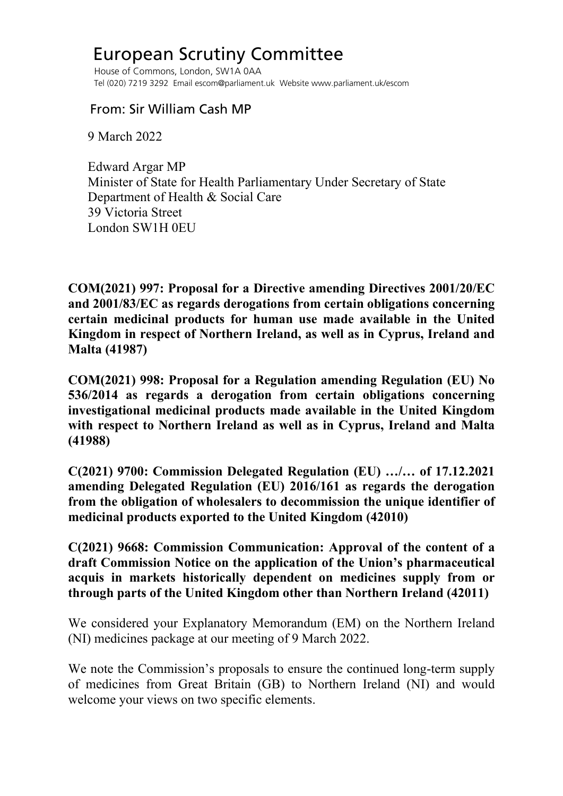## European Scrutiny Committee

 House of Commons, London, SW1A 0AA Tel (020) 7219 3292 Email escom@parliament.uk Website www.parliament.uk/escom

## From: Sir William Cash MP

9 March 2022

 Edward Argar MP Minister of State for Health Parliamentary Under Secretary of State Department of Health & Social Care 39 Victoria Street London SW1H 0EU

**COM(2021) 997: Proposal for a Directive amending Directives 2001/20/EC and 2001/83/EC as regards derogations from certain obligations concerning certain medicinal products for human use made available in the United Kingdom in respect of Northern Ireland, as well as in Cyprus, Ireland and Malta (41987)**

**COM(2021) 998: Proposal for a Regulation amending Regulation (EU) No 536/2014 as regards a derogation from certain obligations concerning investigational medicinal products made available in the United Kingdom with respect to Northern Ireland as well as in Cyprus, Ireland and Malta (41988)**

**C(2021) 9700: Commission Delegated Regulation (EU) …/… of 17.12.2021 amending Delegated Regulation (EU) 2016/161 as regards the derogation from the obligation of wholesalers to decommission the unique identifier of medicinal products exported to the United Kingdom (42010)**

**C(2021) 9668: Commission Communication: Approval of the content of a draft Commission Notice on the application of the Union's pharmaceutical acquis in markets historically dependent on medicines supply from or through parts of the United Kingdom other than Northern Ireland (42011)**

We considered your Explanatory Memorandum (EM) on the Northern Ireland (NI) medicines package at our meeting of 9 March 2022.

We note the Commission's proposals to ensure the continued long-term supply of medicines from Great Britain (GB) to Northern Ireland (NI) and would welcome your views on two specific elements.